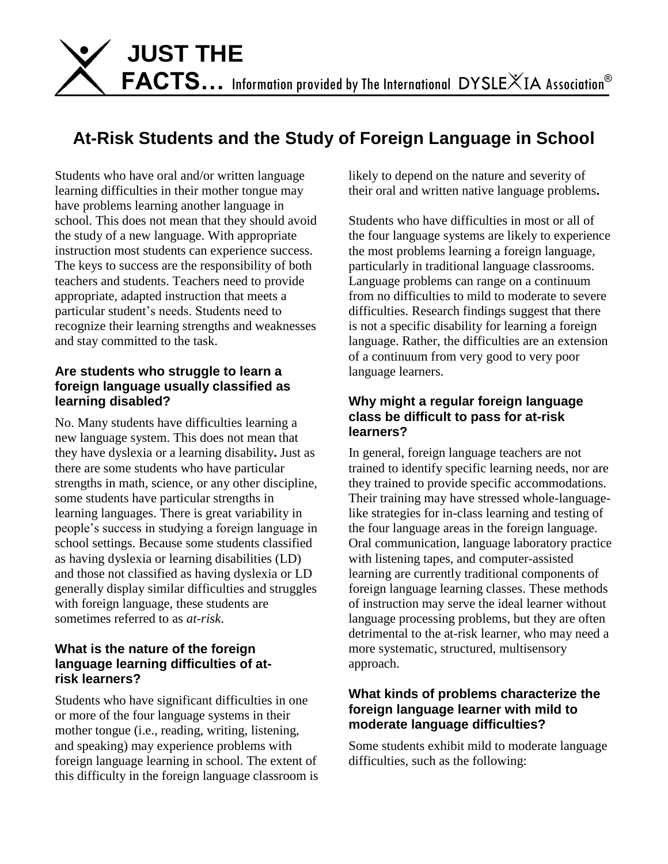

# **At-Risk Students and the Study of Foreign Language in School**

Students who have oral and/or written language learning difficulties in their mother tongue may have problems learning another language in school. This does not mean that they should avoid the study of a new language. With appropriate instruction most students can experience success. The keys to success are the responsibility of both teachers and students. Teachers need to provide appropriate, adapted instruction that meets a particular student's needs. Students need to recognize their learning strengths and weaknesses and stay committed to the task.

#### **Are students who struggle to learn a foreign language usually classified as learning disabled?**

No. Many students have difficulties learning a new language system. This does not mean that they have dyslexia or a learning disability**.** Just as there are some students who have particular strengths in math, science, or any other discipline, some students have particular strengths in learning languages. There is great variability in people's success in studying a foreign language in school settings. Because some students classified as having dyslexia or learning disabilities (LD) and those not classified as having dyslexia or LD generally display similar difficulties and struggles with foreign language, these students are sometimes referred to as *at-risk*.

#### **What is the nature of the foreign language learning difficulties of atrisk learners?**

Students who have significant difficulties in one or more of the four language systems in their mother tongue (i.e., reading, writing, listening, and speaking) may experience problems with foreign language learning in school. The extent of this difficulty in the foreign language classroom is likely to depend on the nature and severity of their oral and written native language problems**.** 

Students who have difficulties in most or all of the four language systems are likely to experience the most problems learning a foreign language, particularly in traditional language classrooms. Language problems can range on a continuum from no difficulties to mild to moderate to severe difficulties. Research findings suggest that there is not a specific disability for learning a foreign language. Rather, the difficulties are an extension of a continuum from very good to very poor language learners.

## **Why might a regular foreign language class be difficult to pass for at-risk learners?**

In general, foreign language teachers are not trained to identify specific learning needs, nor are they trained to provide specific accommodations. Their training may have stressed whole-languagelike strategies for in-class learning and testing of the four language areas in the foreign language. Oral communication, language laboratory practice with listening tapes, and computer-assisted learning are currently traditional components of foreign language learning classes. These methods of instruction may serve the ideal learner without language processing problems, but they are often detrimental to the at-risk learner, who may need a more systematic, structured, multisensory approach.

## **What kinds of problems characterize the foreign language learner with mild to moderate language difficulties?**

Some students exhibit mild to moderate language difficulties, such as the following: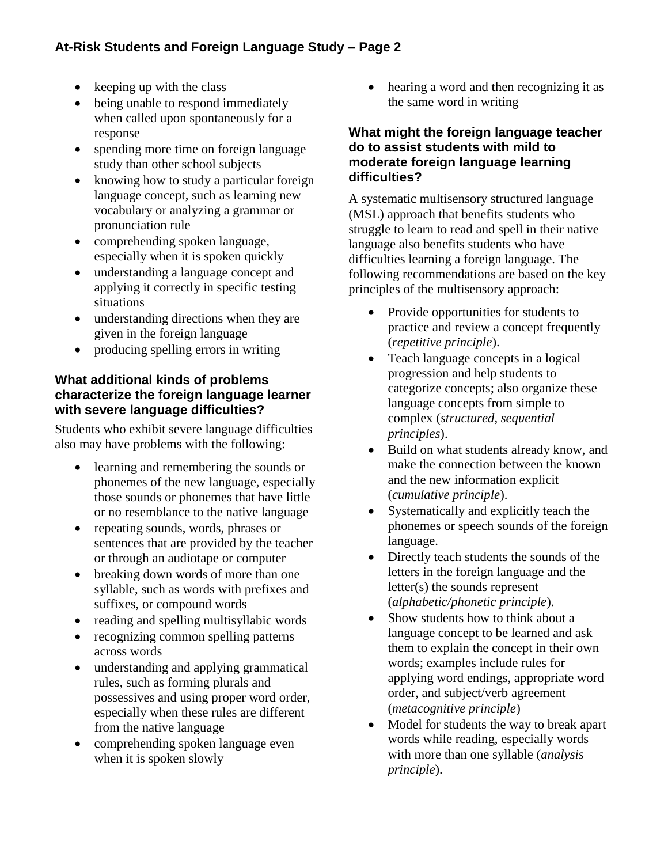- $\bullet$  keeping up with the class
- being unable to respond immediately when called upon spontaneously for a response
- spending more time on foreign language study than other school subjects
- knowing how to study a particular foreign language concept, such as learning new vocabulary or analyzing a grammar or pronunciation rule
- comprehending spoken language, especially when it is spoken quickly
- understanding a language concept and applying it correctly in specific testing situations
- understanding directions when they are given in the foreign language
- producing spelling errors in writing

## **What additional kinds of problems characterize the foreign language learner with severe language difficulties?**

Students who exhibit severe language difficulties also may have problems with the following:

- learning and remembering the sounds or phonemes of the new language, especially those sounds or phonemes that have little or no resemblance to the native language
- repeating sounds, words, phrases or sentences that are provided by the teacher or through an audiotape or computer
- breaking down words of more than one syllable, such as words with prefixes and suffixes, or compound words
- reading and spelling multisyllabic words
- recognizing common spelling patterns across words
- understanding and applying grammatical rules, such as forming plurals and possessives and using proper word order, especially when these rules are different from the native language
- comprehending spoken language even when it is spoken slowly

• hearing a word and then recognizing it as the same word in writing

#### **What might the foreign language teacher do to assist students with mild to moderate foreign language learning difficulties?**

A systematic multisensory structured language (MSL) approach that benefits students who struggle to learn to read and spell in their native language also benefits students who have difficulties learning a foreign language. The following recommendations are based on the key principles of the multisensory approach:

- Provide opportunities for students to practice and review a concept frequently (*repetitive principle*).
- Teach language concepts in a logical progression and help students to categorize concepts; also organize these language concepts from simple to complex (*structured, sequential principles*).
- Build on what students already know, and make the connection between the known and the new information explicit (*cumulative principle*).
- Systematically and explicitly teach the phonemes or speech sounds of the foreign language.
- Directly teach students the sounds of the letters in the foreign language and the letter(s) the sounds represent (*alphabetic/phonetic principle*).
- Show students how to think about a language concept to be learned and ask them to explain the concept in their own words; examples include rules for applying word endings, appropriate word order, and subject/verb agreement (*metacognitive principle*)
- Model for students the way to break apart words while reading, especially words with more than one syllable (*analysis principle*).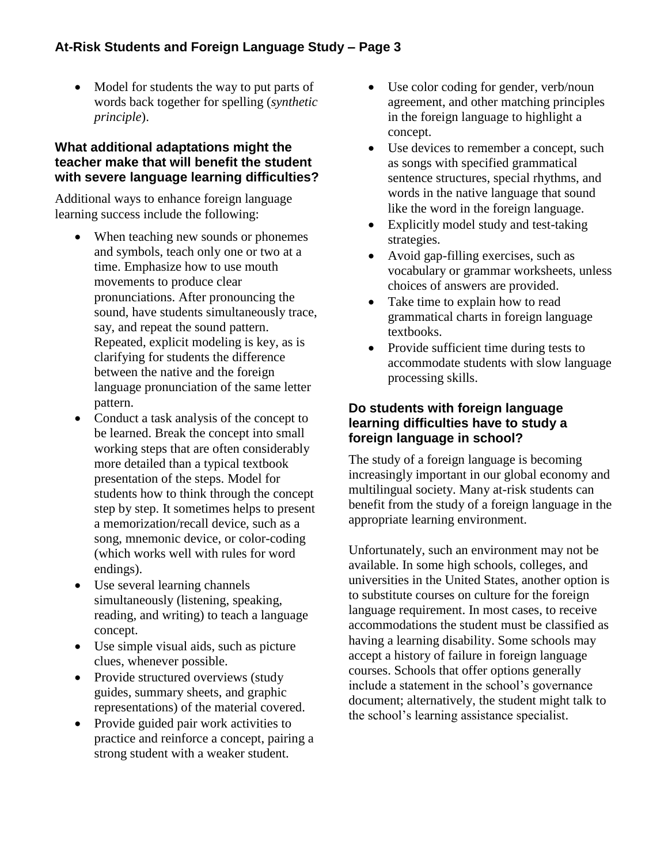# **At-Risk Students and Foreign Language Study – Page 3**

• Model for students the way to put parts of words back together for spelling (*synthetic principle*).

#### **What additional adaptations might the teacher make that will benefit the student with severe language learning difficulties?**

Additional ways to enhance foreign language learning success include the following:

- When teaching new sounds or phonemes and symbols, teach only one or two at a time. Emphasize how to use mouth movements to produce clear pronunciations. After pronouncing the sound, have students simultaneously trace, say, and repeat the sound pattern. Repeated, explicit modeling is key, as is clarifying for students the difference between the native and the foreign language pronunciation of the same letter pattern.
- Conduct a task analysis of the concept to be learned. Break the concept into small working steps that are often considerably more detailed than a typical textbook presentation of the steps. Model for students how to think through the concept step by step. It sometimes helps to present a memorization/recall device, such as a song, mnemonic device, or color-coding (which works well with rules for word endings).
- Use several learning channels simultaneously (listening, speaking, reading, and writing) to teach a language concept.
- Use simple visual aids, such as picture clues, whenever possible.
- Provide structured overviews (study guides, summary sheets, and graphic representations) of the material covered.
- Provide guided pair work activities to practice and reinforce a concept, pairing a strong student with a weaker student.
- Use color coding for gender, verb/noun agreement, and other matching principles in the foreign language to highlight a concept.
- Use devices to remember a concept, such as songs with specified grammatical sentence structures, special rhythms, and words in the native language that sound like the word in the foreign language.
- Explicitly model study and test-taking strategies.
- Avoid gap-filling exercises, such as vocabulary or grammar worksheets, unless choices of answers are provided.
- Take time to explain how to read grammatical charts in foreign language textbooks.
- Provide sufficient time during tests to accommodate students with slow language processing skills.

## **Do students with foreign language learning difficulties have to study a foreign language in school?**

The study of a foreign language is becoming increasingly important in our global economy and multilingual society. Many at-risk students can benefit from the study of a foreign language in the appropriate learning environment.

Unfortunately, such an environment may not be available. In some high schools, colleges, and universities in the United States, another option is to substitute courses on culture for the foreign language requirement. In most cases, to receive accommodations the student must be classified as having a learning disability. Some schools may accept a history of failure in foreign language courses. Schools that offer options generally include a statement in the school's governance document; alternatively, the student might talk to the school's learning assistance specialist.